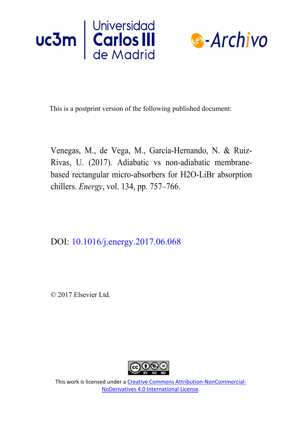



This is a postprint version of the following published document:

Venegas, M., de Vega, M., García-Hernando, N. & Ruiz-Rivas, U. (2017). Adiabatic vs non-adiabatic membranebased rectangular micro-absorbers for H2O-LiBr absorption chillers. *Energy*, vol. 134, pp. 757–766.

DOI: 10.1016/j.energy.2017.06.068

© 2017 Elsevier Ltd.



This work is licensed under a Creative [Commons Attribution-NonCommercial-](https://creativecommons.org/licenses/by-nc-nd/4.0/)NoDerivatives [4.0 International License.](https://creativecommons.org/licenses/by-nc-nd/4.0/)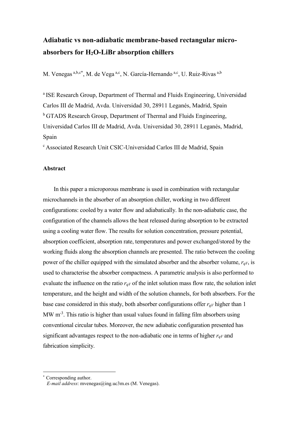# **Adiabatic vs non-adiabatic membrane-based rectangular microabsorbers for H2O-LiBr absorption chillers**

M. Venegas a,b,c\*, M. de Vega a,c, N. García-Hernando a,c, U. Ruiz-Rivas a,b

<sup>a</sup> ISE Research Group, Department of Thermal and Fluids Engineering, Universidad Carlos III de Madrid, Avda. Universidad 30, 28911 Leganés, Madrid, Spain <sup>b</sup> GTADS Research Group, Department of Thermal and Fluids Engineering, Universidad Carlos III de Madrid, Avda. Universidad 30, 28911 Leganés, Madrid, Spain

<sup>c</sup>Associated Research Unit CSIC-Universidad Carlos III de Madrid, Spain

## **Abstract**

In this paper a microporous membrane is used in combination with rectangular microchannels in the absorber of an absorption chiller, working in two different configurations: cooled by a water flow and adiabatically. In the non-adiabatic case, the configuration of the channels allows the heat released during absorption to be extracted using a cooling water flow. The results for solution concentration, pressure potential, absorption coefficient, absorption rate, temperatures and power exchanged/stored by the working fluids along the absorption channels are presented. The ratio between the cooling power of the chiller equipped with the simulated absorber and the absorber volume, *rqV*, is used to characterise the absorber compactness. A parametric analysis is also performed to evaluate the influence on the ratio  $r_{qV}$  of the inlet solution mass flow rate, the solution inlet temperature, and the height and width of the solution channels, for both absorbers. For the base case considered in this study, both absorber configurations offer *rqV* higher than 1 MW  $m<sup>-3</sup>$ . This ratio is higher than usual values found in falling film absorbers using conventional circular tubes. Moreover, the new adiabatic configuration presented has significant advantages respect to the non-adiabatic one in terms of higher *rqV* and fabrication simplicity.

<u>.</u>

Corresponding author.

*E-mail address*: mvenegas@ing.uc3m.es (M. Venegas).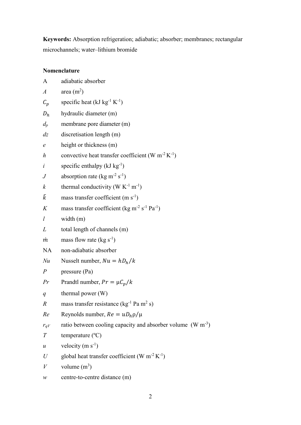**Keywords:** Absorption refrigeration; adiabatic; absorber; membranes; rectangular microchannels; water–lithium bromide

# **Nomenclature**

| A                | adiabatic absorber                                                               |
|------------------|----------------------------------------------------------------------------------|
| $\boldsymbol{A}$ | area $(m^2)$                                                                     |
| $\mathcal{C}_p$  | specific heat ( $kJ kg^{-1} K^{-1}$ )                                            |
| $D_h$            | hydraulic diameter (m)                                                           |
| $d_p$            | membrane pore diameter (m)                                                       |
| dz               | discretisation length (m)                                                        |
| $\epsilon$       | height or thickness (m)                                                          |
| h                | convective heat transfer coefficient (W m <sup>-2</sup> K <sup>-1</sup> )        |
| $\dot{i}$        | specific enthalpy $(kJ kg^{-1})$                                                 |
| $\,$             | absorption rate (kg m <sup>-2</sup> s <sup>-1</sup> )                            |
| $\boldsymbol{k}$ | thermal conductivity (W $K^{-1}$ m <sup>-1</sup> )                               |
| $\tilde{k}$      | mass transfer coefficient $(m s-1)$                                              |
| K                | mass transfer coefficient (kg m <sup>-2</sup> s <sup>-1</sup> Pa <sup>-1</sup> ) |
| $\iota$          | width $(m)$                                                                      |
| L                | total length of channels (m)                                                     |
| m                | mass flow rate $(kg s^{-1})$                                                     |
| <b>NA</b>        | non-adiabatic absorber                                                           |
| Nu               | Nusselt number, $Nu = hD_h/k$                                                    |
| $\overline{P}$   | pressure (Pa)                                                                    |
| Pr               | Prandtl number, $Pr = \mu C_p / k$                                               |
| q                | thermal power $(W)$                                                              |
| R                | mass transfer resistance ( $kg^{-1}$ Pa m <sup>2</sup> s)                        |
| Re               | Reynolds number, $Re = uD_h \rho/\mu$                                            |
| $r_{qV}$         | ratio between cooling capacity and absorber volume $(W m^{-3})$                  |
| $\boldsymbol{T}$ | temperature (°C)                                                                 |
| $\mathcal{U}$    | velocity $(m s-1)$                                                               |
| U                | global heat transfer coefficient (W $m^{-2} K^{-1}$ )                            |
| V                | volume $(m^3)$                                                                   |
| ${\mathcal W}$   | centre-to-centre distance (m)                                                    |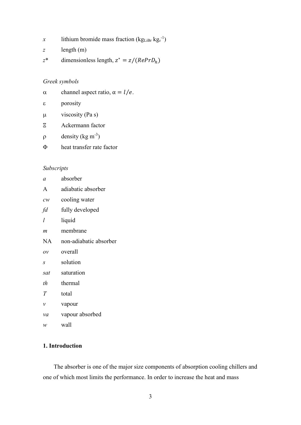- x lithium bromide mass fraction ( $kg<sub>Libr</sub> kg<sub>s</sub>^{-1}$ )
- *z* length (m)
- $z^*$  dimensionless length,  $z^* = z/(RePr D_h)$

# *Greek symbols*

- $α$  channel aspect ratio,  $α = l/e$ .
- $\epsilon$  porosity
- $\mu$  viscosity (Pa s)
- Ξ Ackermann factor
- $\rho$  density (kg m<sup>-3</sup>)
- Φ heat transfer rate factor

# *Subscripts*

| $\alpha$                  | absorber               |
|---------------------------|------------------------|
| A                         | adiabatic absorber     |
| $\mathcal{C} \mathcal{W}$ | cooling water          |
| fd                        | fully developed        |
| l                         | liquid                 |
| m                         | membrane               |
| NA                        | non-adiabatic absorber |
| OV                        | overall                |
| S                         | solution               |
| sat                       | saturation             |
| th                        | thermal                |
| T                         | total                  |
| ν                         | vapour                 |
| va                        | vapour absorbed        |
| w                         | wall                   |

# **1. Introduction**

The absorber is one of the major size components of absorption cooling chillers and one of which most limits the performance. In order to increase the heat and mass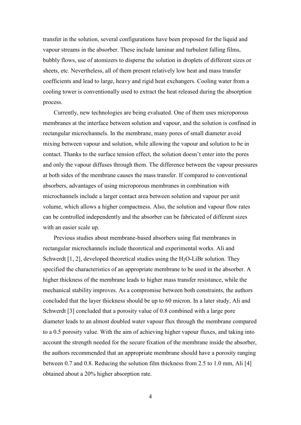transfer in the solution, several configurations have been proposed for the liquid and vapour streams in the absorber. These include laminar and turbulent falling films, bubbly flows, use of atomizers to disperse the solution in droplets of different sizes or sheets, etc. Nevertheless, all of them present relatively low heat and mass transfer coefficients and lead to large, heavy and rigid heat exchangers. Cooling water from a cooling tower is conventionally used to extract the heat released during the absorption process.

Currently, new technologies are being evaluated. One of them uses microporous membranes at the interface between solution and vapour, and the solution is confined in rectangular microchannels. In the membrane, many pores of small diameter avoid mixing between vapour and solution, while allowing the vapour and solution to be in contact. Thanks to the surface tension effect, the solution doesn't enter into the pores and only the vapour diffuses through them. The difference between the vapour pressures at both sides of the membrane causes the mass transfer. If compared to conventional absorbers, advantages of using microporous membranes in combination with microchannels include a larger contact area between solution and vapour per unit volume, which allows a higher compactness. Also, the solution and vapour flow rates can be controlled independently and the absorber can be fabricated of different sizes with an easier scale up.

Previous studies about membrane-based absorbers using flat membranes in rectangular microchannels include theoretical and experimental works. Ali and Schwerdt  $[1, 2]$ , developed theoretical studies using the H<sub>2</sub>O-LiBr solution. They specified the characteristics of an appropriate membrane to be used in the absorber. A higher thickness of the membrane leads to higher mass transfer resistance, while the mechanical stability improves. As a compromise between both constraints, the authors concluded that the layer thickness should be up to 60 micron. In a later study, Ali and Schwerdt [3] concluded that a porosity value of 0.8 combined with a large pore diameter leads to an almost doubled water vapour flux through the membrane compared to a 0.5 porosity value. With the aim of achieving higher vapour fluxes, and taking into account the strength needed for the secure fixation of the membrane inside the absorber, the authors recommended that an appropriate membrane should have a porosity ranging between 0.7 and 0.8. Reducing the solution film thickness from 2.5 to 1.0 mm, Ali [4] obtained about a 20% higher absorption rate.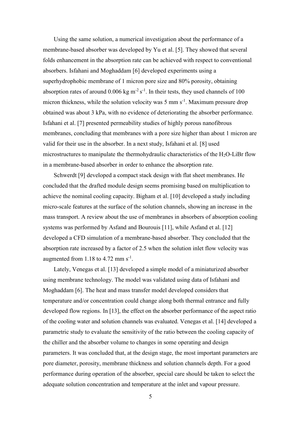Using the same solution, a numerical investigation about the performance of a membrane-based absorber was developed by Yu et al. [5]. They showed that several folds enhancement in the absorption rate can be achieved with respect to conventional absorbers. Isfahani and Moghaddam [6] developed experiments using a superhydrophobic membrane of 1 micron pore size and 80% porosity, obtaining absorption rates of around  $0.006 \text{ kg m}^2 \text{ s}^{-1}$ . In their tests, they used channels of 100 micron thickness, while the solution velocity was  $5 \text{ mm s}^{-1}$ . Maximum pressure drop obtained was about 3 kPa, with no evidence of deteriorating the absorber performance. Isfahani et al. [7] presented permeability studies of highly porous nanofibrous membranes, concluding that membranes with a pore size higher than about 1 micron are valid for their use in the absorber. In a next study, Isfahani et al. [8] used microstructures to manipulate the thermohydraulic characteristics of the  $H_2O$ -LiBr flow in a membrane-based absorber in order to enhance the absorption rate.

Schwerdt [9] developed a compact stack design with flat sheet membranes. He concluded that the drafted module design seems promising based on multiplication to achieve the nominal cooling capacity. Bigham et al. [10] developed a study including micro-scale features at the surface of the solution channels, showing an increase in the mass transport. A review about the use of membranes in absorbers of absorption cooling systems was performed by Asfand and Bourouis [11], while Asfand et al. [12] developed a CFD simulation of a membrane-based absorber. They concluded that the absorption rate increased by a factor of 2.5 when the solution inlet flow velocity was augmented from  $1.18$  to  $4.72$  mm  $s^{-1}$ .

Lately, Venegas et al. [13] developed a simple model of a miniaturized absorber using membrane technology. The model was validated using data of Isfahani and Moghaddam [6]. The heat and mass transfer model developed considers that temperature and/or concentration could change along both thermal entrance and fully developed flow regions. In [13], the effect on the absorber performance of the aspect ratio of the cooling water and solution channels was evaluated. Venegas et al. [14] developed a parametric study to evaluate the sensitivity of the ratio between the cooling capacity of the chiller and the absorber volume to changes in some operating and design parameters. It was concluded that, at the design stage, the most important parameters are pore diameter, porosity, membrane thickness and solution channels depth. For a good performance during operation of the absorber, special care should be taken to select the adequate solution concentration and temperature at the inlet and vapour pressure.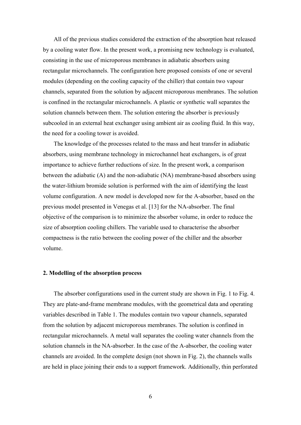All of the previous studies considered the extraction of the absorption heat released by a cooling water flow. In the present work, a promising new technology is evaluated, consisting in the use of microporous membranes in adiabatic absorbers using rectangular microchannels. The configuration here proposed consists of one or several modules (depending on the cooling capacity of the chiller) that contain two vapour channels, separated from the solution by adjacent microporous membranes. The solution is confined in the rectangular microchannels. A plastic or synthetic wall separates the solution channels between them. The solution entering the absorber is previously subcooled in an external heat exchanger using ambient air as cooling fluid. In this way, the need for a cooling tower is avoided.

The knowledge of the processes related to the mass and heat transfer in adiabatic absorbers, using membrane technology in microchannel heat exchangers, is of great importance to achieve further reductions of size. In the present work, a comparison between the adiabatic (A) and the non-adiabatic (NA) membrane-based absorbers using the water-lithium bromide solution is performed with the aim of identifying the least volume configuration. A new model is developed now for the A-absorber, based on the previous model presented in Venegas et al. [13] for the NA-absorber. The final objective of the comparison is to minimize the absorber volume, in order to reduce the size of absorption cooling chillers. The variable used to characterise the absorber compactness is the ratio between the cooling power of the chiller and the absorber volume.

### **2. Modelling of the absorption process**

The absorber configurations used in the current study are shown in Fig. 1 to Fig. 4. They are plate-and-frame membrane modules, with the geometrical data and operating variables described in Table 1. The modules contain two vapour channels, separated from the solution by adjacent microporous membranes. The solution is confined in rectangular microchannels. A metal wall separates the cooling water channels from the solution channels in the NA-absorber. In the case of the A-absorber, the cooling water channels are avoided. In the complete design (not shown in Fig. 2), the channels walls are held in place joining their ends to a support framework. Additionally, thin perforated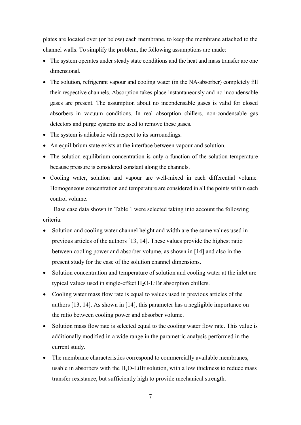plates are located over (or below) each membrane, to keep the membrane attached to the channel walls. To simplify the problem, the following assumptions are made:

- The system operates under steady state conditions and the heat and mass transfer are one dimensional.
- The solution, refrigerant vapour and cooling water (in the NA-absorber) completely fill their respective channels. Absorption takes place instantaneously and no incondensable gases are present. The assumption about no incondensable gases is valid for closed absorbers in vacuum conditions. In real absorption chillers, non-condensable gas detectors and purge systems are used to remove these gases.
- The system is adiabatic with respect to its surroundings.
- An equilibrium state exists at the interface between vapour and solution.
- The solution equilibrium concentration is only a function of the solution temperature because pressure is considered constant along the channels.
- Cooling water, solution and vapour are well-mixed in each differential volume. Homogeneous concentration and temperature are considered in all the points within each control volume.

Base case data shown in Table 1 were selected taking into account the following criteria:

- Solution and cooling water channel height and width are the same values used in previous articles of the authors [13, 14]. These values provide the highest ratio between cooling power and absorber volume, as shown in [14] and also in the present study for the case of the solution channel dimensions.
- Solution concentration and temperature of solution and cooling water at the inlet are typical values used in single-effect  $H_2O$ -LiBr absorption chillers.
- Cooling water mass flow rate is equal to values used in previous articles of the authors [13, 14]. As shown in [14], this parameter has a negligible importance on the ratio between cooling power and absorber volume.
- Solution mass flow rate is selected equal to the cooling water flow rate. This value is additionally modified in a wide range in the parametric analysis performed in the current study.
- The membrane characteristics correspond to commercially available membranes, usable in absorbers with the  $H_2O$ -LiBr solution, with a low thickness to reduce mass transfer resistance, but sufficiently high to provide mechanical strength.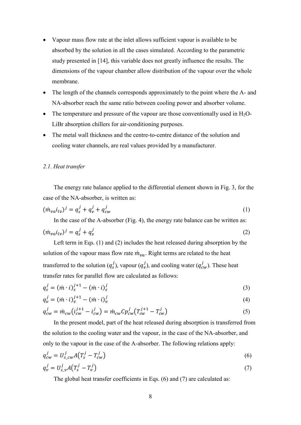- Vapour mass flow rate at the inlet allows sufficient vapour is available to be absorbed by the solution in all the cases simulated. According to the parametric study presented in [14], this variable does not greatly influence the results. The dimensions of the vapour chamber allow distribution of the vapour over the whole membrane.
- The length of the channels corresponds approximately to the point where the A- and NA-absorber reach the same ratio between cooling power and absorber volume.
- The temperature and pressure of the vapour are those conventionally used in  $H_2O$ -LiBr absorption chillers for air-conditioning purposes.
- The metal wall thickness and the centre-to-centre distance of the solution and cooling water channels, are real values provided by a manufacturer.

### *2.1. Heat transfer*

The energy rate balance applied to the differential element shown in Fig. 3, for the case of the NA-absorber, is written as:

$$
(\dot{m}_{va}i_{lv})^j = q_s^j + q_v^j + q_{cw}^j
$$
 (1)

In the case of the A-absorber (Fig. 4), the energy rate balance can be written as:

$$
(\dot{m}_{va}i_{lv})^j = q_s^j + q_v^j \tag{2}
$$

Left term in Eqs. (1) and (2) includes the heat released during absorption by the solution of the vapour mass flow rate  $\dot{m}_{va}$ . Right terms are related to the heat transferred to the solution  $(q_s^j)$ , vapour  $(q_v^j)$ , and cooling water  $(q_{cw}^j)$ . These heat transfer rates for parallel flow are calculated as follows:

$$
q_s^j = \left(\dot{m} \cdot i\right)_s^{j+1} - \left(\dot{m} \cdot i\right)_s^j \tag{3}
$$

$$
q_v^j = (\dot{m} \cdot i)_v^{j+1} - (\dot{m} \cdot i)_v^j \tag{4}
$$

$$
q_{cw}^j = \dot{m}_{cw} \left( i_{cw}^{j+1} - i_{cw}^j \right) = \dot{m}_{cw} C p_{cw}^j \left( T_{cw}^{j+1} - T_{cw}^j \right) \tag{5}
$$

In the present model, part of the heat released during absorption is transferred from the solution to the cooling water and the vapour, in the case of the NA-absorber, and only to the vapour in the case of the A-absorber. The following relations apply:

$$
q_{cw}^j = U_{s\_{cw}}^j A(T_s^j - T_{cw}^j)
$$
\n<sup>(6)</sup>

$$
q_v^j = U_{s_v}^j A \left( T_s^j - T_v^j \right) \tag{7}
$$

The global heat transfer coefficients in Eqs. (6) and (7) are calculated as: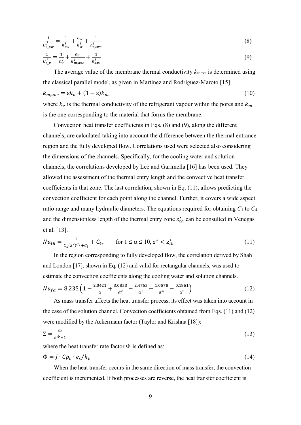$$
\frac{1}{U_{s\_cw}^j} = \frac{1}{h_{cw}^j} + \frac{e_w}{k_w^j} + \frac{1}{h_{s,cw*}^j}
$$
(8)

$$
\frac{1}{u_{s_{\nu}}^j} = \frac{1}{h_v^j} + \frac{e_m}{k_{m,ave}^j} + \frac{1}{h_{s,v^*}^j}
$$
(9)

The average value of the membrane thermal conductivity *km,ave* is determined using the classical parallel model, as given in Martínez and Rodríguez-Maroto [15]:  $k_{m,ave} = \varepsilon k_v + (1 - \varepsilon) k_m$  (10) where  $k_v$  is the thermal conductivity of the refrigerant vapour within the pores and  $k_m$ 

is the one corresponding to the material that forms the membrane.

Convection heat transfer coefficients in Eqs. (8) and (9), along the different channels, are calculated taking into account the difference between the thermal entrance region and the fully developed flow. Correlations used were selected also considering the dimensions of the channels. Specifically, for the cooling water and solution channels, the correlations developed by Lee and Garimella [16] has been used. They allowed the assessment of the thermal entry length and the convective heat transfer coefficients in that zone. The last correlation, shown in Eq. (11), allows predicting the convection coefficient for each point along the channel. Further, it covers a wide aspect ratio range and many hydraulic diameters. The equations required for obtaining *C*1 to *C*<sup>4</sup> and the dimensionless length of the thermal entry zone  $z_{th}^*$  can be consulted in Venegas et al. [13].

$$
Nu_{th} = \frac{1}{c_1(z^*)^{c_2} + c_3} + C_4, \qquad \text{for } 1 \le \alpha \le 10, \, z^* < z_{th}^* \tag{11}
$$

In the region corresponding to fully developed flow, the correlation derived by Shah and London [17], shown in Eq. (12) and valid for rectangular channels, was used to estimate the convection coefficients along the cooling water and solution channels.

$$
Nu_{fd} = 8.235 \left( 1 - \frac{2.0421}{\alpha} + \frac{3.0853}{\alpha^2} - \frac{2.4765}{\alpha^3} + \frac{1.0578}{\alpha^4} - \frac{0.1861}{\alpha^5} \right) \tag{12}
$$

As mass transfer affects the heat transfer process, its effect was taken into account in the case of the solution channel. Convection coefficients obtained from Eqs. (11) and (12) were modified by the Ackermann factor (Taylor and Krishna [18]):

$$
\Xi = \frac{\Phi}{e^{\Phi} - 1} \tag{13}
$$

where the heat transfer rate factor  $\Phi$  is defined as:

$$
\Phi = J \cdot C p_v \cdot e_s / k_v \tag{14}
$$

When the heat transfer occurs in the same direction of mass transfer, the convection coefficient is incremented. If both processes are reverse, the heat transfer coefficient is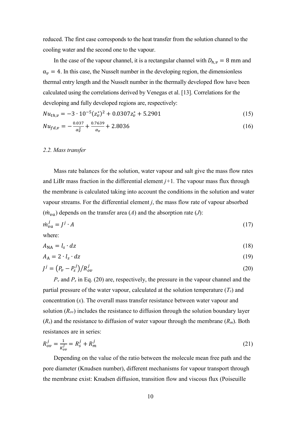reduced. The first case corresponds to the heat transfer from the solution channel to the cooling water and the second one to the vapour.

In the case of the vapour channel, it is a rectangular channel with  $D_{h,\nu} = 8$  mm and  $\alpha_{\nu} = 4$ . In this case, the Nusselt number in the developing region, the dimensionless thermal entry length and the Nusselt number in the thermally developed flow have been calculated using the correlations derived by Venegas et al. [13]. Correlations for the developing and fully developed regions are, respectively:

$$
Nu_{th,v} = -3 \cdot 10^{-5} (z_v^*)^2 + 0.0307 z_v^* + 5.2901
$$
\n(15)

$$
Nu_{fd,v} = -\frac{0.037}{\alpha_v^2} + \frac{0.7639}{\alpha_v} + 2.8036\tag{16}
$$

#### *2.2. Mass transfer*

Mass rate balances for the solution, water vapour and salt give the mass flow rates and LiBr mass fraction in the differential element  $j+1$ . The vapour mass flux through the membrane is calculated taking into account the conditions in the solution and water vapour streams. For the differential element *j*, the mass flow rate of vapour absorbed  $(\dot{m}_{va})$  depends on the transfer area (*A*) and the absorption rate (*J*):

$$
\dot{m}_{\nu a}^j = J^j \cdot A \tag{17}
$$

where:

$$
A_{\rm NA} = l_s \cdot dz \tag{18}
$$

$$
A_{\rm A} = 2 \cdot l_{\rm s} \cdot dz \tag{19}
$$

$$
J^j = \left(P_v - P_s^j\right) / R_{ov}^j \tag{20}
$$

 $P<sub>v</sub>$  and  $P<sub>s</sub>$  in Eq. (20) are, respectively, the pressure in the vapour channel and the partial pressure of the water vapour, calculated at the solution temperature  $(T_s)$  and concentration (*x*). The overall mass transfer resistance between water vapour and solution  $(R_{ov})$  includes the resistance to diffusion through the solution boundary layer (*Rs*) and the resistance to diffusion of water vapour through the membrane (*Rm*). Both resistances are in series:

$$
R_{ov}^j = \frac{1}{K_{ov}^j} = R_s^j + R_m^j
$$
 (21)

Depending on the value of the ratio between the molecule mean free path and the pore diameter (Knudsen number), different mechanisms for vapour transport through the membrane exist: Knudsen diffusion, transition flow and viscous flux (Poiseuille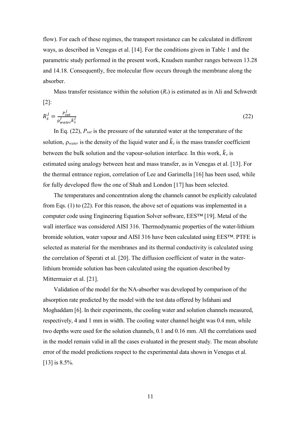flow). For each of these regimes, the transport resistance can be calculated in different ways, as described in Venegas et al. [14]. For the conditions given in Table 1 and the parametric study performed in the present work, Knudsen number ranges between 13.28 and 14.18. Consequently, free molecular flow occurs through the membrane along the absorber.

Mass transfer resistance within the solution  $(R_s)$  is estimated as in Ali and Schwerdt [2]:

$$
R_s^j = \frac{P_{sat}^j}{\rho_{water}^j \tilde{k}_s^j}
$$
 (22)

In Eq. (22), *Psat* is the pressure of the saturated water at the temperature of the solution,  $\rho_{water}$  is the density of the liquid water and  $\tilde{k}_s$  is the mass transfer coefficient between the bulk solution and the vapour-solution interface. In this work,  $\tilde{k}_s$  is estimated using analogy between heat and mass transfer, as in Venegas et al. [13]. For the thermal entrance region, correlation of Lee and Garimella [16] has been used, while for fully developed flow the one of Shah and London [17] has been selected.

The temperatures and concentration along the channels cannot be explicitly calculated from Eqs. (1) to (22). For this reason, the above set of equations was implemented in a computer code using Engineering Equation Solver software, EES™ [19]. Metal of the wall interface was considered AISI 316. Thermodynamic properties of the water-lithium bromide solution, water vapour and AISI 316 have been calculated using EES™. PTFE is selected as material for the membranes and its thermal conductivity is calculated using the correlation of Sperati et al. [20]. The diffusion coefficient of water in the waterlithium bromide solution has been calculated using the equation described by Mittermaier et al. [21].

Validation of the model for the NA-absorber was developed by comparison of the absorption rate predicted by the model with the test data offered by Isfahani and Moghaddam [6]. In their experiments, the cooling water and solution channels measured, respectively, 4 and 1 mm in width. The cooling water channel height was 0.4 mm, while two depths were used for the solution channels, 0.1 and 0.16 mm. All the correlations used in the model remain valid in all the cases evaluated in the present study. The mean absolute error of the model predictions respect to the experimental data shown in Venegas et al. [13] is 8.5%.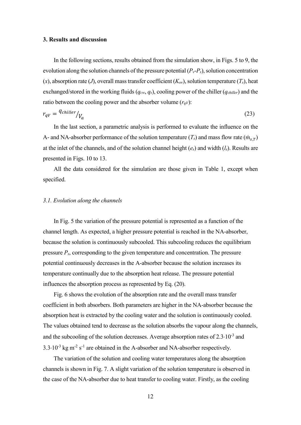#### **3. Results and discussion**

In the following sections, results obtained from the simulation show, in Figs. 5 to 9, the evolution along the solution channels of the pressure potential  $(P_v-P_s)$ , solution concentration  $(x)$ , absorption rate (*J*), overall mass transfer coefficient ( $K_{ov}$ ), solution temperature ( $T_s$ ), heat exchanged/stored in the working fluids (*qcw*, *qs*), cooling power of the chiller (*qchiller*) and the ratio between the cooling power and the absorber volume  $(r_qv)$ :

$$
r_{qV} = \frac{q_{children}}{V_a} \tag{23}
$$

In the last section, a parametric analysis is performed to evaluate the influence on the A- and NA-absorber performance of the solution temperature  $(T_s)$  and mass flow rate  $(\dot{m}_{s,T})$ at the inlet of the channels, and of the solution channel height (*es*) and width (*ls*). Results are presented in Figs. 10 to 13.

All the data considered for the simulation are those given in Table 1, except when specified.

### *3.1. Evolution along the channels*

In Fig. 5 the variation of the pressure potential is represented as a function of the channel length. As expected, a higher pressure potential is reached in the NA-absorber, because the solution is continuously subcooled. This subcooling reduces the equilibrium pressure *Ps*, corresponding to the given temperature and concentration. The pressure potential continuously decreases in the A-absorber because the solution increases its temperature continually due to the absorption heat release. The pressure potential influences the absorption process as represented by Eq. (20).

Fig. 6 shows the evolution of the absorption rate and the overall mass transfer coefficient in both absorbers. Both parameters are higher in the NA-absorber because the absorption heat is extracted by the cooling water and the solution is continuously cooled. The values obtained tend to decrease as the solution absorbs the vapour along the channels, and the subcooling of the solution decreases. Average absorption rates of  $2.3 \cdot 10^{-3}$  and  $3.3 \cdot 10^{-3}$  kg m<sup>-2</sup> s<sup>-1</sup> are obtained in the A-absorber and NA-absorber respectively.

The variation of the solution and cooling water temperatures along the absorption channels is shown in Fig. 7. A slight variation of the solution temperature is observed in the case of the NA-absorber due to heat transfer to cooling water. Firstly, as the cooling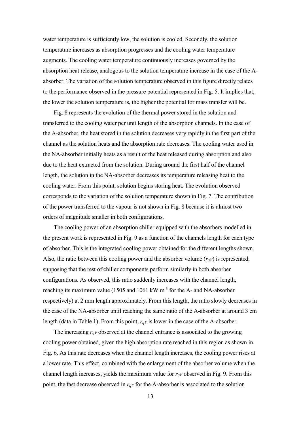water temperature is sufficiently low, the solution is cooled. Secondly, the solution temperature increases as absorption progresses and the cooling water temperature augments. The cooling water temperature continuously increases governed by the absorption heat release, analogous to the solution temperature increase in the case of the Aabsorber. The variation of the solution temperature observed in this figure directly relates to the performance observed in the pressure potential represented in Fig. 5. It implies that, the lower the solution temperature is, the higher the potential for mass transfer will be.

Fig. 8 represents the evolution of the thermal power stored in the solution and transferred to the cooling water per unit length of the absorption channels. In the case of the A-absorber, the heat stored in the solution decreases very rapidly in the first part of the channel as the solution heats and the absorption rate decreases. The cooling water used in the NA-absorber initially heats as a result of the heat released during absorption and also due to the heat extracted from the solution. During around the first half of the channel length, the solution in the NA-absorber decreases its temperature releasing heat to the cooling water. From this point, solution begins storing heat. The evolution observed corresponds to the variation of the solution temperature shown in Fig. 7. The contribution of the power transferred to the vapour is not shown in Fig. 8 because it is almost two orders of magnitude smaller in both configurations.

The cooling power of an absorption chiller equipped with the absorbers modelled in the present work is represented in Fig. 9 as a function of the channels length for each type of absorber. This is the integrated cooling power obtained for the different lengths shown. Also, the ratio between this cooling power and the absorber volume  $(r_q\bar{v})$  is represented, supposing that the rest of chiller components perform similarly in both absorber configurations. As observed, this ratio suddenly increases with the channel length, reaching its maximum value (1505 and 1061 kW m<sup>-3</sup> for the A- and NA-absorber respectively) at 2 mm length approximately. From this length, the ratio slowly decreases in the case of the NA-absorber until reaching the same ratio of the A-absorber at around 3 cm length (data in Table 1). From this point, *rqV* is lower in the case of the A-absorber.

The increasing *rqV* observed at the channel entrance is associated to the growing cooling power obtained, given the high absorption rate reached in this region as shown in Fig. 6. As this rate decreases when the channel length increases, the cooling power rises at a lower rate. This effect, combined with the enlargement of the absorber volume when the channel length increases, yields the maximum value for  $r_{qV}$  observed in Fig. 9. From this point, the fast decrease observed in  $r_{qV}$  for the A-absorber is associated to the solution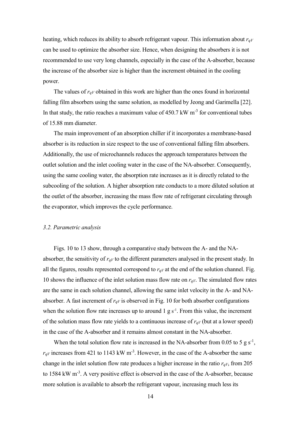heating, which reduces its ability to absorb refrigerant vapour. This information about *rqV* can be used to optimize the absorber size. Hence, when designing the absorbers it is not recommended to use very long channels, especially in the case of the A-absorber, because the increase of the absorber size is higher than the increment obtained in the cooling power.

The values of  $r_{qV}$  obtained in this work are higher than the ones found in horizontal falling film absorbers using the same solution, as modelled by Jeong and Garimella [22]. In that study, the ratio reaches a maximum value of  $450.7 \text{ kW m}^{-3}$  for conventional tubes of 15.88 mm diameter.

The main improvement of an absorption chiller if it incorporates a membrane-based absorber is its reduction in size respect to the use of conventional falling film absorbers. Additionally, the use of microchannels reduces the approach temperatures between the outlet solution and the inlet cooling water in the case of the NA-absorber. Consequently, using the same cooling water, the absorption rate increases as it is directly related to the subcooling of the solution. A higher absorption rate conducts to a more diluted solution at the outlet of the absorber, increasing the mass flow rate of refrigerant circulating through the evaporator, which improves the cycle performance.

#### *3.2. Parametric analysis*

Figs. 10 to 13 show, through a comparative study between the A- and the NAabsorber, the sensitivity of *rqV* to the different parameters analysed in the present study. In all the figures, results represented correspond to  $r_{qV}$  at the end of the solution channel. Fig. 10 shows the influence of the inlet solution mass flow rate on  $r_{qV}$ . The simulated flow rates are the same in each solution channel, allowing the same inlet velocity in the A- and NAabsorber. A fast increment of  $r_{qV}$  is observed in Fig. 10 for both absorber configurations when the solution flow rate increases up to around  $1 \text{ g s}^{-1}$ . From this value, the increment of the solution mass flow rate yields to a continuous increase of  $r_{qV}$  (but at a lower speed) in the case of the A-absorber and it remains almost constant in the NA-absorber.

When the total solution flow rate is increased in the NA-absorber from 0.05 to 5  $g s^{-1}$ ,  $r_{qV}$  increases from 421 to 1143 kW m<sup>-3</sup>. However, in the case of the A-absorber the same change in the inlet solution flow rate produces a higher increase in the ratio *rqV*, from 205 to 1584 kW m<sup>-3</sup>. A very positive effect is observed in the case of the A-absorber, because more solution is available to absorb the refrigerant vapour, increasing much less its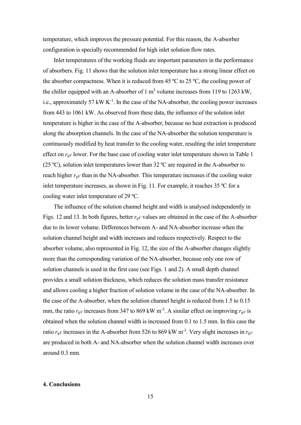temperature, which improves the pressure potential. For this reason, the A-absorber configuration is specially recommended for high inlet solution flow rates.

Inlet temperatures of the working fluids are important parameters in the performance of absorbers. Fig. 11 shows that the solution inlet temperature has a strong linear effect on the absorber compactness. When it is reduced from 45  $\degree$ C to 25  $\degree$ C, the cooling power of the chiller equipped with an A-absorber of  $1 \text{ m}^3$  volume increases from 119 to 1263 kW, i.e., approximately 57 kW  $K^{-1}$ . In the case of the NA-absorber, the cooling power increases from 443 to 1061 kW. As observed from these data, the influence of the solution inlet temperature is higher in the case of the A-absorber, because no heat extraction is produced along the absorption channels. In the case of the NA-absorber the solution temperature is continuously modified by heat transfer to the cooling water, resulting the inlet temperature effect on  $r_{qV}$  lower. For the base case of cooling water inlet temperature shown in Table 1 (25 °C), solution inlet temperatures lower than 32 °C are required in the A-absorber to reach higher *rqV* than in the NA-absorber. This temperature increases if the cooling water inlet temperature increases, as shown in Fig. 11. For example, it reaches 35 ºC for a cooling water inlet temperature of 29 ºC.

The influence of the solution channel height and width is analysed independently in Figs. 12 and 13. In both figures, better *rqV* values are obtained in the case of the A-absorber due to its lower volume. Differences between A- and NA-absorber increase when the solution channel height and width increases and reduces respectively. Respect to the absorber volume, also represented in Fig. 12, the size of the A-absorber changes slightly more than the corresponding variation of the NA-absorber, because only one row of solution channels is used in the first case (see Figs. 1 and 2). A small depth channel provides a small solution thickness, which reduces the solution mass transfer resistance and allows cooling a higher fraction of solution volume in the case of the NA-absorber. In the case of the A-absorber, when the solution channel height is reduced from 1.5 to 0.15 mm, the ratio  $r_{qV}$  increases from 347 to 869 kW m<sup>-3</sup>. A similar effect on improving  $r_{qV}$  is obtained when the solution channel width is increased from 0.1 to 1.5 mm. In this case the ratio *rqV* increases in the A-absorber from 526 to 869 kW m-3. Very slight increases in *rqV* are produced in both A- and NA-absorber when the solution channel width increases over around 0.3 mm.

## **4. Conclusions**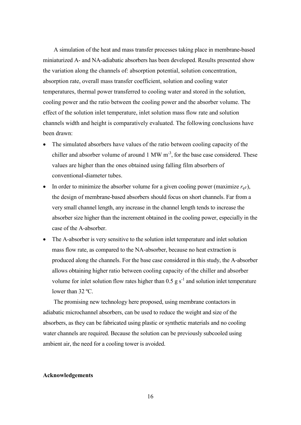A simulation of the heat and mass transfer processes taking place in membrane-based miniaturized A- and NA-adiabatic absorbers has been developed. Results presented show the variation along the channels of: absorption potential, solution concentration, absorption rate, overall mass transfer coefficient, solution and cooling water temperatures, thermal power transferred to cooling water and stored in the solution, cooling power and the ratio between the cooling power and the absorber volume. The effect of the solution inlet temperature, inlet solution mass flow rate and solution channels width and height is comparatively evaluated. The following conclusions have been drawn:

- The simulated absorbers have values of the ratio between cooling capacity of the chiller and absorber volume of around  $1 \text{ MW m}^{-3}$ , for the base case considered. These values are higher than the ones obtained using falling film absorbers of conventional-diameter tubes.
- In order to minimize the absorber volume for a given cooling power (maximize  $r_qy$ ), the design of membrane-based absorbers should focus on short channels. Far from a very small channel length, any increase in the channel length tends to increase the absorber size higher than the increment obtained in the cooling power, especially in the case of the A-absorber.
- The A-absorber is very sensitive to the solution inlet temperature and inlet solution mass flow rate, as compared to the NA-absorber, because no heat extraction is produced along the channels. For the base case considered in this study, the A-absorber allows obtaining higher ratio between cooling capacity of the chiller and absorber volume for inlet solution flow rates higher than  $0.5 \text{ g s}^{-1}$  and solution inlet temperature lower than 32 ºC.

The promising new technology here proposed, using membrane contactors in adiabatic microchannel absorbers, can be used to reduce the weight and size of the absorbers, as they can be fabricated using plastic or synthetic materials and no cooling water channels are required. Because the solution can be previously subcooled using ambient air, the need for a cooling tower is avoided.

### **Acknowledgements**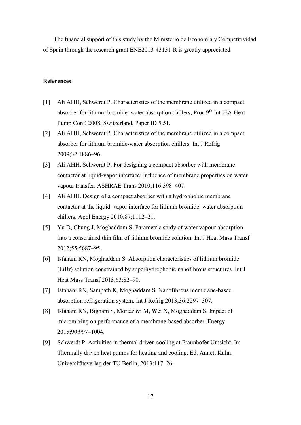The financial support of this study by the Ministerio de Economía y Competitividad of Spain through the research grant ENE2013-43131-R is greatly appreciated.

# **References**

- [1] Ali AHH, Schwerdt P. Characteristics of the membrane utilized in a compact absorber for lithium bromide–water absorption chillers. Proc 9<sup>th</sup> Int IEA Heat Pump Conf, 2008, Switzerland, Paper ID 5.51.
- [2] Ali AHH, Schwerdt P. Characteristics of the membrane utilized in a compact absorber for lithium bromide-water absorption chillers. Int J Refrig 2009;32:1886–96.
- [3] Ali AHH, Schwerdt P. For designing a compact absorber with membrane contactor at liquid-vapor interface: influence of membrane properties on water vapour transfer. ASHRAE Trans 2010;116:398–407.
- [4] Ali AHH. Design of a compact absorber with a hydrophobic membrane contactor at the liquid–vapor interface for lithium bromide–water absorption chillers. Appl Energy 2010;87:1112–21.
- [5] Yu D, Chung J, Moghaddam S. Parametric study of water vapour absorption into a constrained thin film of lithium bromide solution. Int J Heat Mass Transf 2012;55:5687–95.
- [6] Isfahani RN, Moghaddam S. Absorption characteristics of lithium bromide (LiBr) solution constrained by superhydrophobic nanofibrous structures. Int J Heat Mass Transf 2013;63:82–90.
- [7] Isfahani RN, Sampath K, Moghaddam S. Nanofibrous membrane-based absorption refrigeration system. Int J Refrig 2013;36:2297–307.
- [8] Isfahani RN, Bigham S, Mortazavi M, Wei X, Moghaddam S. Impact of micromixing on performance of a membrane-based absorber. Energy 2015;90:997–1004.
- [9] Schwerdt P. Activities in thermal driven cooling at Fraunhofer Umsicht. In: Thermally driven heat pumps for heating and cooling. Ed. Annett Kühn. Universitätsverlag der TU Berlin, 2013:117–26.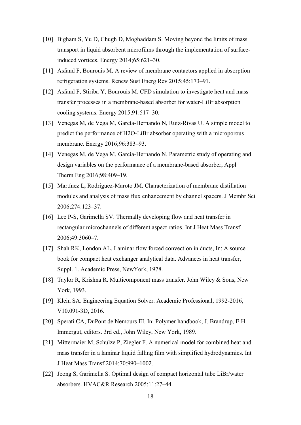- [10] Bigham S, Yu D, Chugh D, Moghaddam S. Moving beyond the limits of mass transport in liquid absorbent microfilms through the implementation of surfaceinduced vortices. Energy 2014;65:621–30.
- [11] Asfand F, Bourouis M. A review of membrane contactors applied in absorption refrigeration systems. [Renew Sust Energ Re](http://admin-apps.webofknowledge.com/JCR/JCR?RQ=RECORD&rank=1&journal=RENEW+SUST+ENERG+REV)v 2015;45:173–91.
- [12] Asfand F, Stiriba Y, Bourouis M. CFD simulation to investigate heat and mass transfer processes in a membrane-based absorber for water-LiBr absorption cooling systems. Energy 2015;91:517–30.
- [13] Venegas M, de Vega M, García-Hernando N, Ruiz-Rivas U. A simple model to predict the performance of H2O-LiBr absorber operating with a microporous membrane. Energy 2016;96:383–93.
- [14] Venegas M, de Vega M, García-Hernando N. Parametric study of operating and design variables on the performance of a membrane-based absorber, Appl Therm Eng 2016;98:409–19.
- [15] Martínez L, Rodríguez-Maroto JM. Characterization of membrane distillation modules and analysis of mass flux enhancement by channel spacers. J Membr Sci 2006;274:123–37.
- [16] Lee P-S, Garimella SV. Thermally developing flow and heat transfer in rectangular microchannels of different aspect ratios. Int J Heat Mass Transf 2006;49:3060–7.
- [17] Shah RK, London AL. Laminar flow forced convection in ducts, In: A source book for compact heat exchanger analytical data. Advances in heat transfer, Suppl. 1. Academic Press, NewYork, 1978.
- [18] Taylor R, Krishna R. Multicomponent mass transfer. John Wiley & Sons, New York, 1993.
- [19] Klein SA. Engineering Equation Solver. Academic Professional, 1992-2016, V10.091-3D, 2016.
- [20] Sperati CA, DuPont de Nemours EI. In: Polymer handbook, J. Brandrup, E.H. Immergut, editors. 3rd ed., John Wiley, New York, 1989.
- [21] Mittermaier M, Schulze P, Ziegler F. A numerical model for combined heat and mass transfer in a laminar liquid falling film with simplified hydrodynamics. Int J Heat Mass Transf 2014;70:990–1002.
- [22] Jeong S, Garimella S. Optimal design of compact horizontal tube LiBr/water absorbers. HVAC&R Research 2005;11:27–44.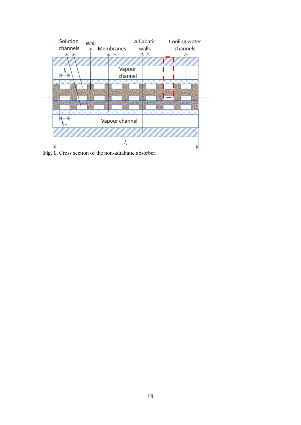

**Fig. 1.** Cross section of the non-adiabatic absorber.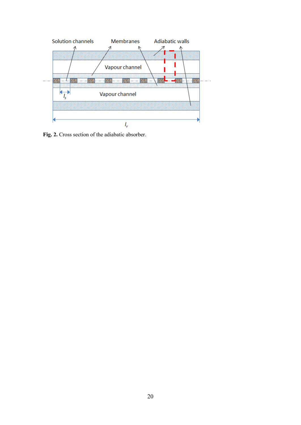

Fig. 2. Cross section of the adiabatic absorber.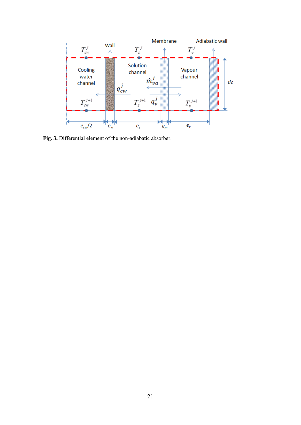

**Fig. 3.** Differential element of the non-adiabatic absorber.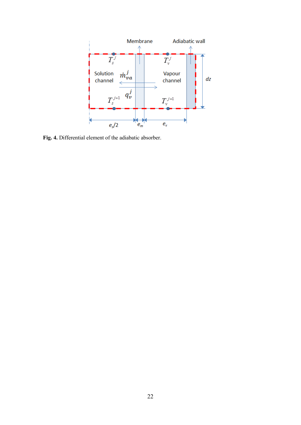

**Fig. 4.** Differential element of the adiabatic absorber.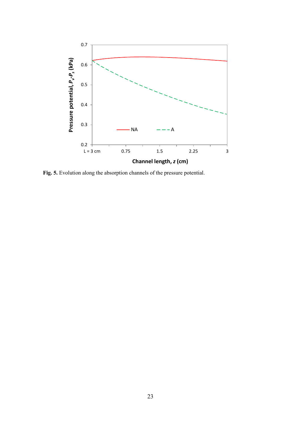

**Fig. 5.** Evolution along the absorption channels of the pressure potential.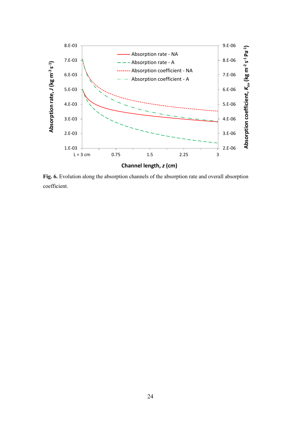

Fig. 6. Evolution along the absorption channels of the absorption rate and overall absorption coefficient.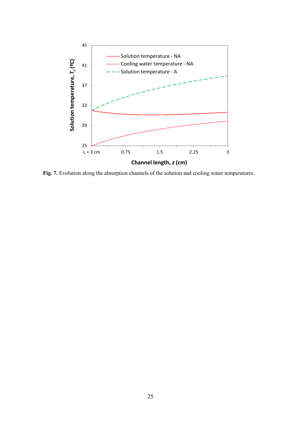

Fig. 7. Evolution along the absorption channels of the solution and cooling water temperatures.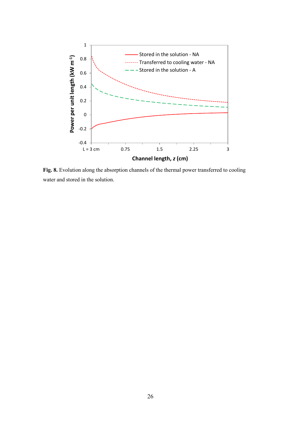

Fig. 8. Evolution along the absorption channels of the thermal power transferred to cooling water and stored in the solution.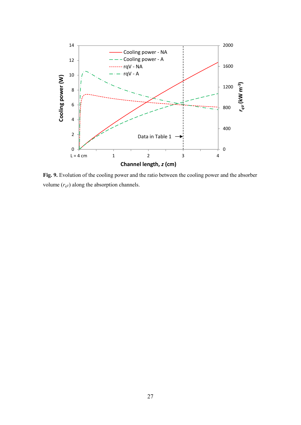

**Fig. 9.** Evolution of the cooling power and the ratio between the cooling power and the absorber volume  $(r_{qV})$  along the absorption channels.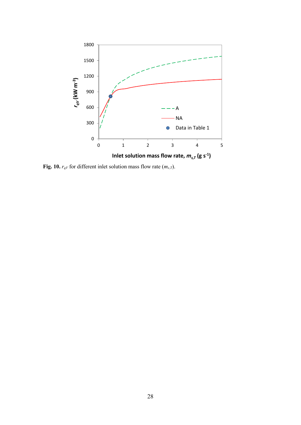

**Fig. 10.**  $r_{qV}$  for different inlet solution mass flow rate  $(m_{s,T})$ .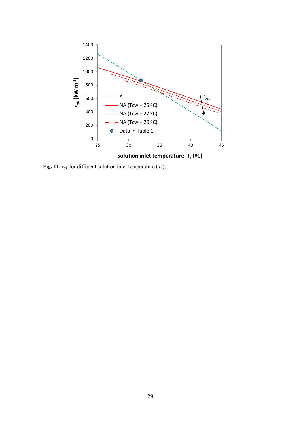

**Fig. 11.**  $r_{qV}$  for different solution inlet temperature  $(T_s)$ .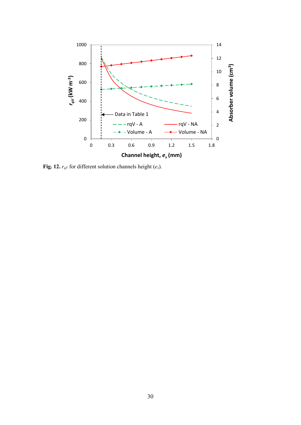

**Fig. 12.**  $r_{qV}$  for different solution channels height ( $e_s$ ).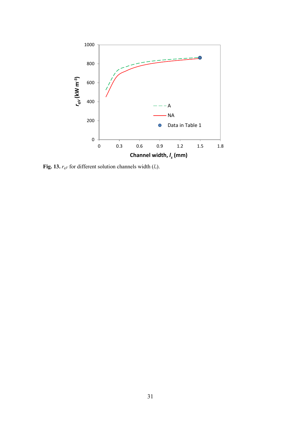

**Fig. 13.**  $r_{qV}$  for different solution channels width  $(l_s)$ .